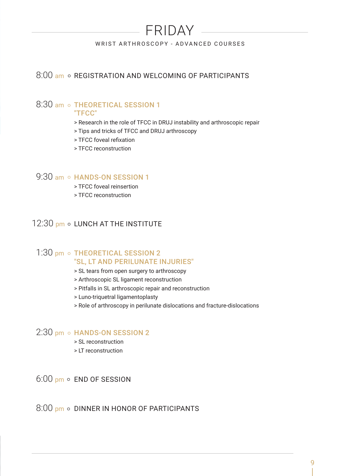# FRIDAY

### WRIST ARTHROSCOPY - ADVANCED COURSES

## 8:00 am o REGISTRATION AND WELCOMING OF PARTICIPANTS

## 8:30 am o THEORETICAL SESSION 1

#### "TFCC"

- > Research in the role of TFCC in DRUJ instability and arthroscopic repair
- > Tips and tricks of TFCC and DRUJ arthroscopy
- > TFCC foveal refixation
- > TFCC reconstruction

### 9:30 am o HANDS-ON SESSION 1

- > TFCC foveal reinsertion
- > TFCC reconstruction

## 12:30 pm o LUNCH AT THE INSTITUTE

### 1:30 pm o THEORETICAL SESSION 2 "SL, LT AND PERILUNATE INJURIES"

- > SL tears from open surgery to arthroscopy
- > Arthroscopic SL ligament reconstruction
- > Pitfalls in SL arthroscopic repair and reconstruction
- > Luno-triquetral ligamentoplasty
- > Role of arthroscopy in perilunate dislocations and fracture-dislocations

### $2:30$  pm  $\circ$  HANDS-ON SESSION 2

- > SL reconstruction
- > LT reconstruction

 $6:00$  pm  $\circ$  END OF SESSION

 $8:00$  pm  $\circ$  DINNER IN HONOR OF PARTICIPANTS